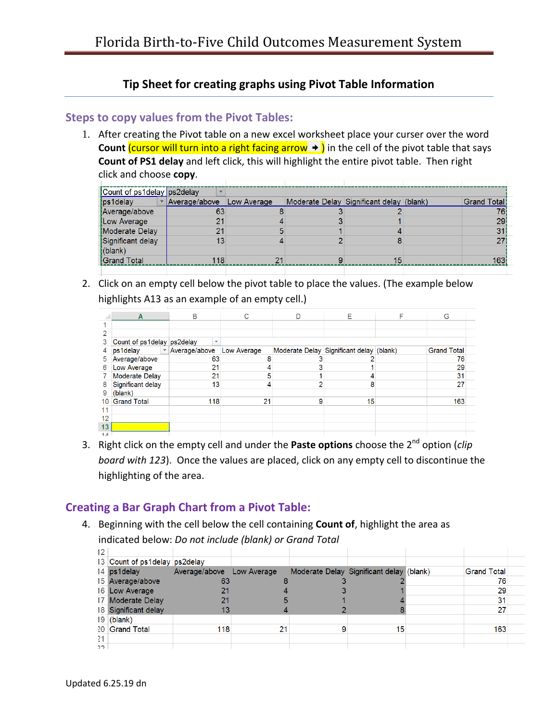## **Tip Sheet for creating graphs using Pivot Table Information**

## **Steps to copy values from the Pivot Tables:**

1. After creating the Pivot table on a new excel worksheet place your curser over the word **Count** *(cursor will turn into a right facing arrow* $\rightarrow$  **)** in the cell of the pivot table that says **Count of PS1 delay** and left click, this will highlight the entire pivot table. Then right click and choose **copy**.

| Count of ps1delay ps2delay |                 |             |                                          |  |             |  |
|----------------------------|-----------------|-------------|------------------------------------------|--|-------------|--|
| ps1delay                   | ▼ Average/above | Low Average | Moderate Delay Significant delay (blank) |  | Grand Total |  |
| Average/above              | 63              |             |                                          |  |             |  |
| Low Average                | 21              |             |                                          |  | 29          |  |
| Moderate Delay             | 21              |             |                                          |  | 31          |  |
| Significant delay          | 13              |             |                                          |  |             |  |
| (blank)                    |                 |             |                                          |  |             |  |
| <b>Grand Total</b>         | 118             | 21          |                                          |  | 163         |  |
|                            |                 |             |                                          |  |             |  |

2. Click on an empty cell below the pivot table to place the values. (The example below highlights A13 as an example of an empty cell.)

|                | A                          | B                                  | С           |   | E.                                       | F | G                  |  |
|----------------|----------------------------|------------------------------------|-------------|---|------------------------------------------|---|--------------------|--|
|                |                            |                                    |             |   |                                          |   |                    |  |
| っ              |                            |                                    |             |   |                                          |   |                    |  |
| 3              | Count of ps1delay ps2delay | $\checkmark$                       |             |   |                                          |   |                    |  |
| 4              | ps1delay                   | $\blacktriangledown$ Average/above | Low Average |   | Moderate Delay Significant delay (blank) |   | <b>Grand Total</b> |  |
| 5              | Average/above              | 63                                 |             |   |                                          |   | 76                 |  |
| 6              | Low Average                | 21                                 |             |   |                                          |   | 29                 |  |
|                | <b>Moderate Delay</b>      | 21                                 | 5           |   |                                          |   | 31                 |  |
| 8              | Significant delay          | 13                                 |             |   | 8                                        |   | 27                 |  |
| 9              | (blank)                    |                                    |             |   |                                          |   |                    |  |
| 10             | <b>Grand Total</b>         | 118                                | 21          | 9 | 15                                       |   | 163                |  |
| 11             |                            |                                    |             |   |                                          |   |                    |  |
| 12             |                            |                                    |             |   |                                          |   |                    |  |
| 13             |                            |                                    |             |   |                                          |   |                    |  |
| $\overline{1}$ |                            |                                    |             |   |                                          |   |                    |  |

3. Right click on the empty cell and under the **Paste options** choose the 2 nd option (*clip board with 123*). Once the values are placed, click on any empty cell to discontinue the highlighting of the area.

## **Creating a Bar Graph Chart from a Pivot Table:**

4. Beginning with the cell below the cell containing **Count of**, highlight the area as indicated below: *Do not include (blank) or Grand Total*

|     | 13 Count of ps1delay ps2delay |                           |    |                                          |                    |  |
|-----|-------------------------------|---------------------------|----|------------------------------------------|--------------------|--|
|     | 14 ps1delay                   | Average/above Low Average |    | Moderate Delay Significant delay (blank) | <b>Grand Total</b> |  |
|     | 15 Average/above              | 63                        |    |                                          | 76                 |  |
|     | 16 Low Average                |                           |    |                                          | 29                 |  |
|     | 17 Moderate Delay             | 21                        |    |                                          | 31                 |  |
|     | 18 Significant delay          | 13                        |    |                                          | 27                 |  |
|     | $19$ (blank)                  |                           |    |                                          |                    |  |
|     | 20 Grand Total                | 118                       | 21 | 15                                       | 163                |  |
| 21  |                               |                           |    |                                          |                    |  |
| ר כ |                               |                           |    |                                          |                    |  |